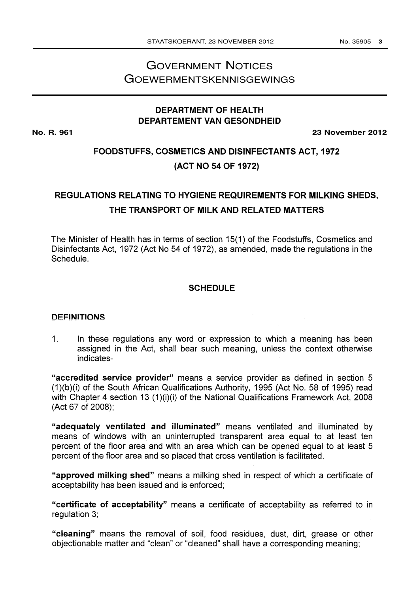# GOVERNMENT NOTICES GOEWERMENTSKENNISGEWINGS

## **DEPARTMENT OF HEALTH DEPARTEMENT VAN GESONDHEID**

**No. R. 961 23 November 2012**

## FOODSTUFFS, COSMETICS AND DISINFECTANTS ACT, 1972 (ACT NO 54 OF 1972)

# REGULATIONS RELATING TO HYGIENE REQUIREMENTS FOR MILKING SHEDS, THE TRANSPORT OF MILK AND RELATED MATTERS

The Minister of Health has in terms of section 15(1) of the Foodstuffs, Cosmetics and Disinfectants Act, 1972 (Act No 54 of 1972), as amended, made the regulations in the Schedule.

## **SCHEDULE**

#### DEFINITIONS

1. In these regulations any word or expression to which a meaning has been assigned in the Act, shall bear such meaning, unless the context otherwise indicates-

"accredited service provider" means a service provider as defined in section 5 (1)(b)(i) of the South African Qualifications Authority, 1995 (Act No. 58 of 1995) read with Chapter 4 section 13 (1)(i)(i) of the National Qualifications Framework Act, 2008 (Act 67 of 2008);

"adequately ventilated and illuminated" means ventilated and illuminated by means of windows with an uninterrupted transparent area equal to at least ten percent of the floor area and with an area which can be opened equal to at least 5 percent of the floor area and so placed that cross ventilation is facilitated.

"approved milking shed" means a milking shed in respect of which a certificate of acceptability has been issued and is enforced;

"certificate of acceptability" means a certificate of acceptability as referred to in regulation 3;

"cleaning" means the removal of soil, food residues, dust, dirt, grease or other objectionable matter and "clean" or "cleaned" shall have a corresponding meaning;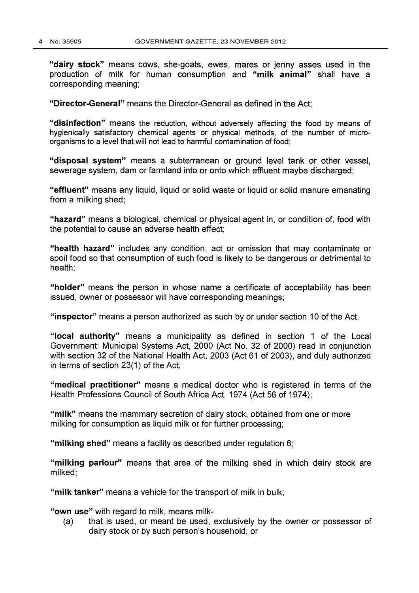"dairy stock" means cows, she-goats, ewes, mares or jenny asses used in the production of milk for human consumption and "milk animal" shall have a corresponding meaning;

"Director-General" means the Director-General as defined in the Act;

"disinfection" means the reduction, without adversely affecting the food by means of hygienically satisfactory chemical agents or physical methods, of the number of microorganisms to a level that will not lead to harmful contamination of food;

"disposal system" means a subterranean or ground level tank or other vessel, sewerage system, dam or farmland into or onto which effluent maybe discharged;

"effluent" means any liquid, liquid or solid waste or liquid or solid manure emanating from a milking shed;

"hazard" means a biological, chemical or physical agent in, or condition of, food with the potential to cause an adverse health effect;

"health hazard" includes any condition, act or omission that may contaminate or spoil food so that consumption of such food is likely to be dangerous or detrimental to health;

"holder" means the person in whose name a certificate of acceptability has been issued, owner or possessor will have corresponding meanings;

"inspector" means a person authorized as such by or under section 10 of the Act.

"local authority" means a municipality as defined in section <sup>1</sup> of the Local Government: Municipal Systems Act, 2000 (Act No. 32 of 2000) read in conjunction with section 32 of the National Health Act, 2003 (Act 61 of 2003), and duly authorized in terms of section 23(1) of the Act;

"medical practitioner" means a medical doctor who is registered in terms of the Health Professions Council of South Africa Act, 1974 (Act 56 of 1974);

"milk" means the mammary secretion of dairy stock, obtained from one or more milking for consumption as liquid milk or for further processing;

"milking shed" means a facility as described under regulation 6;

"milking parlour" means that area of the milking shed in which dairy stock are milked;

"milk tanker" means a vehicle for the transport of milk in bulk;

"own use" with regard to milk, means milk-

(a) that is used, or meant be used, exclusively by the owner or possessor of dairy stock or by such person's household; or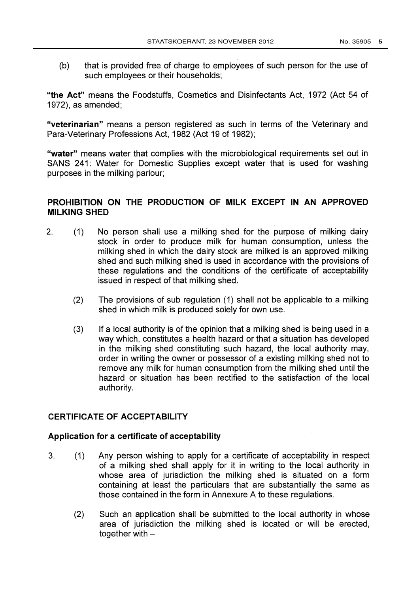(b) that is provided free of charge to employees of such person for the use of such employees or their households;

"the Act" means the Foodstuffs, Cosmetics and Disinfectants Act, 1972 (Act 54 of 1972), as amended;

"veterinarian" means a person registered as such in terms of the Veterinary and Para-Veterinary Professions Act, 1982 (Act 19 of 1982);

"water" means water that complies with the microbiological requirements set out in SANS 241: Water for Domestic Supplies except water that is used for washing purposes in the milking parlour;

## PROHIBITION ON THE PRODUCTION OF MILK EXCEPT IN AN APPROVED MILKING SHED

- 2. (1) No person shall use a milking shed for the purpose of milking dairy stock in order to produce milk for human consumption, unless the milking shed in which the dairy stock are milked is an approved milking shed and such milking shed is used in accordance with the provisions of these regulations and the conditions of the certificate of acceptability issued in respect of that milking shed.
	- $(2)$ The provisions of sub regulation (1) shall not be applicable to a milking shed in which milk is produced solely for own use.
	- (3) If a local authority is of the opinion that a milking shed is being used in a way which, constitutes a health hazard or that a situation has developed in the milking shed constituting such hazard, the local authority may, order in writing the owner or possessor of a existing milking shed not to remove any milk for human consumption from the milking shed until the hazard or situation has been rectified to the satisfaction of the local authority.

## CERTIFICATE OF ACCEPTABILITY

### Application for a certificate of acceptability

- 3. (1) Any person wishing to apply for a certificate of acceptability in respect of a milking shed shall apply for it in writing to the local authority in whose area of jurisdiction the milking shed is situated on a form containing at least the particulars that are substantially the same as those contained in the form in Annexure A to these regulations.
	- (2) Such an application shall be submitted to the local authority in whose area of jurisdiction the milking shed is located or will be erected, together with  $-$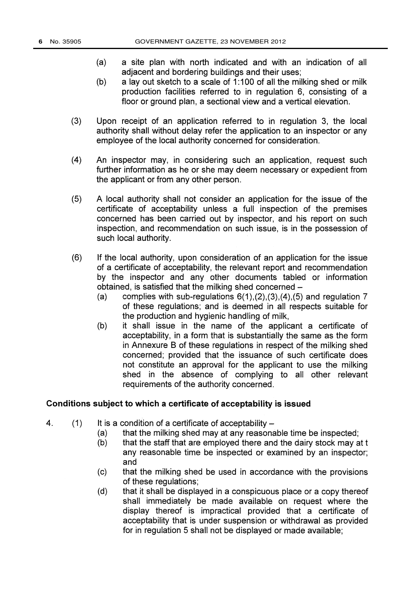- (a) a site plan with north indicated and with an indication of all adjacent and bordering buildings and their uses;
- (b) a lay out sketch to a scale of 1:100 of all the milking shed or milk production facilities referred to in regulation 6, consisting of a floor or ground plan, a sectional view and a vertical elevation.
- (3) Upon receipt of an application referred to in regulation 3, the local authority shall without delay refer the application to an inspector or any employee of the local authority concerned for consideration.
- (4) An inspector may, in considering such an application, request such further information as he or she may deem necessary or expedient from the applicant or from any other person.
- (5) A local authority shall not consider an application for the issue of the certificate of acceptability unless a full inspection of the premises concerned has been carried out by inspector, and his report on such inspection, and recommendation on such issue, is in the possession of such local authority.
- (6) If the local authority, upon consideration of an application for the issue of a certificate of acceptability, the relevant report and recommendation by the inspector and any other documents tabled or information obtained, is satisfied that the milking shed concerned -
	- (a) complies with sub-regulations  $6(1)$ ,  $(2)$ ,  $(3)$ ,  $(4)$ ,  $(5)$  and regulation 7 of these regulations; and is deemed in all respects suitable for the production and hygienic handling of milk,
	- (b) it shall issue in the name of the applicant a certificate of acceptability, in a form that is substantially the same as the form in Annexure B of these regulations in respect of the milking shed concerned; provided that the issuance of such certificate does not constitute an approval for the applicant to use the milking shed in the absence of complying to all other relevant requirements of the authority concerned.

#### Conditions subject to which a certificate of acceptability is issued

- 4.  $(1)$  It is a condition of a certificate of acceptability  $-$ 
	- (a) that the milking shed may at any reasonable time be inspected;
	- (b) that the staff that are employed there and the dairy stock may at t any reasonable time be inspected or examined by an inspector; and
	- (c) that the milking shed be used in accordance with the provisions of these regulations;
	- (d) that it shall be displayed in a conspicuous place or a copy thereof shall immediately be made available on request where the display thereof is impractical provided that a certificate of acceptability that is under suspension or withdrawal as provided for in regulation 5 shall not be displayed or made available;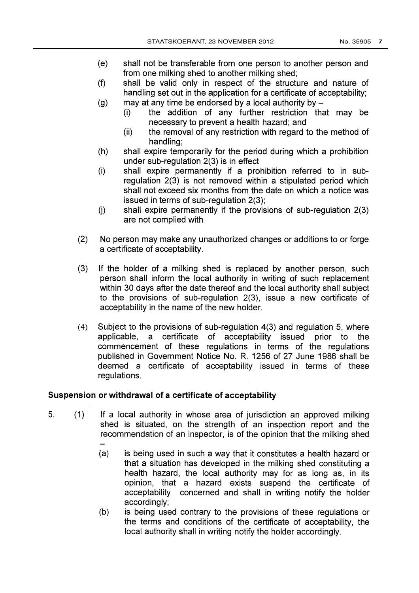- (e) shall not be transferable from one person to another person and from one milking shed to another milking shed;
- (f) shall be valid only in respect of the structure and nature of handling set out in the application for a certificate of acceptability;
- (g) may at any time be endorsed by a local authority by  $-$ 
	- (i) the addition of any further restriction that may be necessary to prevent a health hazard; and
	- (ii) the removal of any restriction with regard to the method of handling;
- (h) shall expire temporarily for the period during which a prohibition under sub-regulation 2(3) is in effect
- (i) shall expire permanently if a prohibition referred to in subregulation 2(3) is not removed within a stipulated period which shall not exceed six months from the date on which a notice was issued in terms of sub-regulation 2(3);
- (j) shall expire permanently if the provisions of sub-regulation 2(3) are not complied with
- (2) No person may make any unauthorized changes or additions to or forge a certificate of acceptability.
- (3) If the holder of a milking shed is replaced by another person, such person shall inform the local authority in writing of such replacement within 30 days after the date thereof and the local authority shall subject to the provisions of sub-regulation 2(3), issue a new certificate of acceptability in the name of the new holder.
- (4) Subject to the provisions of sub-regulation 4(3) and regulation 5, where applicable, a certificate of acceptability issued prior to the commencement of these regulations in terms of the regulations published in Government Notice No. R. 1256 of 27 June 1986 shall be deemed a certificate of acceptability issued in terms of these regulations.

### Suspension or withdrawal of a certificate of acceptability

- 5. (1) If a local authority in whose area of jurisdiction an approved milking shed is situated, on the strength of an inspection report and the recommendation of an inspector, is of the opinion that the milking shed
	- (a) is being used in such a way that it constitutes a health hazard or that a situation has developed in the milking shed constituting a health hazard, the local authority may for as long as, in its opinion, that a hazard exists suspend the certificate of acceptability concerned and shall in writing notify the holder accordingly;
	- (b) is being used contrary to the provisions of these regulations or the terms and conditions of the certificate of acceptability, the local authority shall in writing notify the holder accordingly.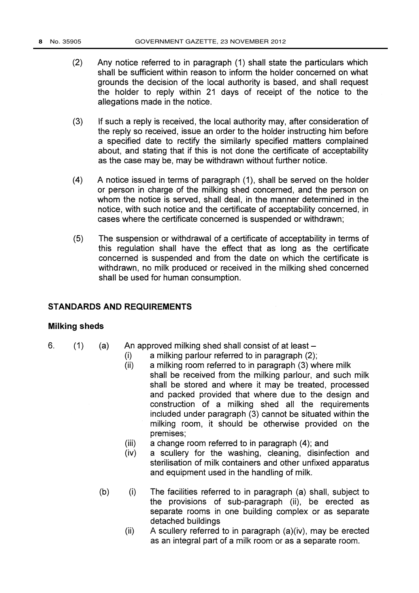- (2) Any notice referred to in paragraph (1) shall state the particulars which shall be sufficient within reason to inform the holder concerned on what grounds the decision of the local authority is based, and shall request the holder to reply within 21 days of receipt of the notice to the allegations made in the notice.
- (3) If such a reply is received, the local authority may, after consideration of the reply so received, issue an order to the holder instructing him before a specified date to rectify the similarly specified matters complained about, and stating that if this is not done the certificate of acceptability as the case may be, may be withdrawn without further notice.
- (4) A notice issued in terms of paragraph (1), shall be served on the holder or person in charge of the milking shed concerned, and the person on whom the notice is served, shall deal, in the manner determined in the notice, with such notice and the certificate of acceptability concerned, in cases where the certificate concerned is suspended or withdrawn;
- (5) The suspension or withdrawal of a certificate of acceptability in terms of this regulation shall have the effect that as long as the certificate concerned is suspended and from the date on which the certificate is withdrawn, no milk produced or received in the milking shed concerned shall be used for human consumption.

## STANDARDS AND REQUIREMENTS

### Milking sheds

- 
- 6.  $(1)$  (a) An approved milking shed shall consist of at least  $-$ 
	- (i) a milking parlour referred to in paragraph (2);
	- (ii) a milking room referred to in paragraph (3) where milk shall be received from the milking parlour, and such milk shall be stored and where it may be treated, processed and packed provided that where due to the design and construction of a milking shed all the requirements included under paragraph (3) cannot be situated within the milking room, it should be otherwise provided on the premises;
	- (iii) a change room referred to in paragraph (4); and
	- (iv) a scullery for the washing, cleaning, disinfection and sterilisation of milk containers and other unfixed apparatus and equipment used in the handling of milk.
	- (b) (i) The facilities referred to in paragraph (a) shall, subject to the provisions of sub-paragraph (ii), be erected as separate rooms in one building complex or as separate detached buildings
		- $(ii)$  A scullery referred to in paragraph  $(a)(iv)$ , may be erected as an integral part of a milk room or as a separate room.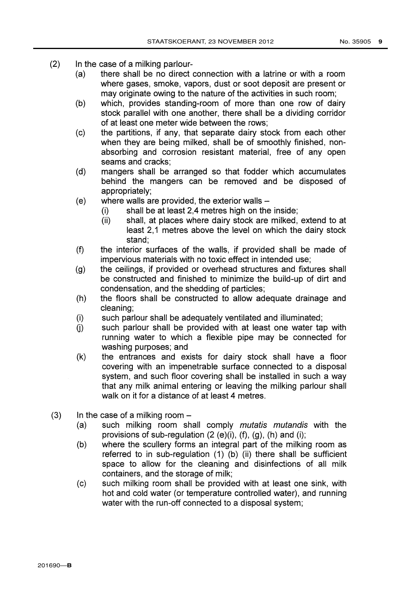- (2) In the case of a milking parlour-
	- (a) there shall be no direct connection with a latrine or with a room where gases, smoke, vapors, dust or soot deposit are present or may originate owing to the nature of the activities in such room;
	- (b) which, provides standing-room of more than one row of dairy stock parallel with one another, there shall be a dividing corridor of at least one meter wide between the rows;
	- (c) the partitions, if any, that separate dairy stock from each other when they are being milked, shall be of smoothly finished, nonabsorbing and corrosion resistant material, free of any open seams and cracks;
	- (d) mangers shall be arranged so that fodder which accumulates behind the mangers can be removed and be disposed of appropriately;
	- $(e)$  where walls are provided, the exterior walls  $-$ 
		- (i) shall be at least 2,4 metres high on the inside;
		- (ii) shall, at places where dairy stock are milked, extend to at least 2,1 metres above the level on which the dairy stock stand;
	- (f) the interior surfaces of the walls, if provided shall be made of impervious materials with no toxic effect in intended use;
	- (g) the ceilings, if provided or overhead structures and fixtures shall be constructed and finished to minimize the build-up of dirt and condensation, and the shedding of particles;
	- (h) the floors shall be constructed to allow adequate drainage and cleaning;
	- (i) such parlour shall be adequately ventilated and illuminated;
	- (j) such parlour shall be provided with at least one water tap with running water to which a flexible pipe may be connected for washing purposes; and
	- (k) the entrances and exists for dairy stock shall have a floor covering with an impenetrable surface connected to a disposal system, and such floor covering shall be installed in such a way that any milk animal entering or leaving the milking parlour shall walk on it for a distance of at least 4 metres.
- $(3)$  In the case of a milking room  $-$ 
	- (a) such milking room shall comply mutatis mutandis with the provisions of sub-regulation  $(2 (e)(i), (f), (g), (h)$  and  $(i);$
	- (b) where the scullery forms an integral part of the milking room as referred to in sub-regulation (1) (b) (ii) there shall be sufficient space to allow for the cleaning and disinfections of all milk containers, and the storage of milk;
	- (c) such milking room shall be provided with at least one sink, with hot and cold water (or temperature controlled water), and running water with the run-off connected to a disposal system;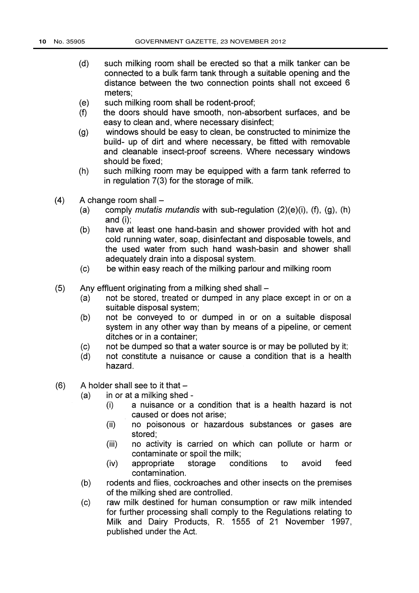- (d) such milking room shall be erected so that a milk tanker can be connected to a bulk farm tank through a suitable opening and the distance between the two connection points shall not exceed 6 meters;
- (e) such milking room shall be rodent-proof;
- (f) the doors should have smooth, non-absorbent surfaces, and be easy to clean and, where necessary disinfect;
- (g) windows should be easy to clean, be constructed to minimize the build- up of dirt and where necessary, be fitted with removable and cleanable insect-proof screens. Where necessary windows should be fixed;
- (h) such milking room may be equipped with a farm tank referred to in regulation 7(3) for the storage of milk.
- $(4)$  A change room shall  $-$ 
	- (a) comply *mutatis mutandis* with sub-regulation  $(2)(e)(i)$ ,  $(f)$ ,  $(g)$ ,  $(h)$ and (i);
	- (b) have at least one hand-basin and shower provided with hot and cold running water, soap, disinfectant and disposable towels, and the used water from such hand wash-basin and shower shall adequately drain into a disposal system.
	- (c) be within easy reach of the milking parlour and milking room
- (5) Any effluent originating from a milking shed shall  $-$ <br>(a) not be stored, treated or dumped in any pla
	- not be stored, treated or dumped in any place except in or on a suitable disposal system;
	- (b) not be conveyed to or dumped in or on a suitable disposal system in any other way than by means of a pipeline, or cement ditches or in a container;
	- (c) not be dumped so that a water source is or may be polluted by it;
	- (d) not constitute a nuisance or cause a condition that is a health hazard.
- $(6)$  A holder shall see to it that  $-$ 
	- (a) in or at a milking shed
		- (i) a nuisance or a condition that is a health hazard is not caused or does not arise;
		- (ii) no poisonous or hazardous substances or gases are stored;
		- (iii) no activity is carried on which can pollute or harm or contaminate or spoil the milk;
		- (iv) appropriate storage conditions to avoid feed contamination.
	- (b) rodents and flies, cockroaches and other insects on the premises of the milking shed are controlled.
	- (c) raw milk destined for human consumption or raw milk intended for further processing shall comply to the Regulations relating to Milk and Dairy Products, R. 1555 of 21 November 1997, published under the Act.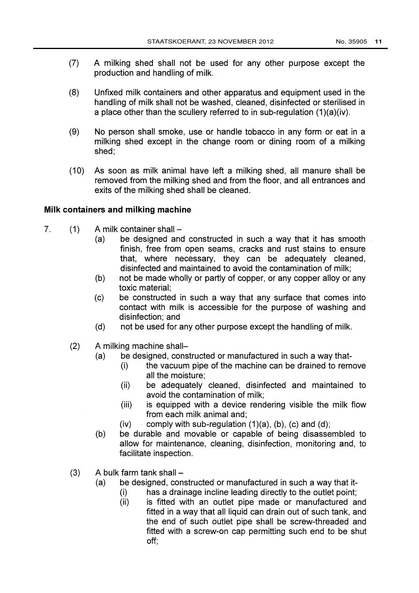- (7) A milking shed shall not be used for any other purpose except the production and handling of milk.
- (8) Unfixed milk containers and other apparatus and equipment used in the handling of milk shall not be washed, cleaned, disinfected or sterilised in a place other than the scullery referred to in sub-regulation  $(1)(a)(iv)$ .
- (9) No person shall smoke, use or handle tobacco in any form or eat in a milking shed except in the change room or dining room of a milking shed;
- (10) As soon as milk animal have left a milking shed, all manure shall be removed from the milking shed and from the floor, and all entrances and exits of the milking shed shall be cleaned.

## Milk containers and milking machine

- 7.  $(1)$  A milk container shall  $-$ 
	- (a) be designed and constructed in such a way that it has smooth finish, free from open seams, cracks and rust stains to ensure that, where necessary, they can be adequately cleaned, disinfected and maintained to avoid the contamination of milk;
	- (b) not be made wholly or partly of copper, or any copper alloy or any toxic material;
	- (c) be constructed in such a way that any surface that comes into contact with milk is accessible for the purpose of washing and disinfection; and
	- (d) not be used for any other purpose except the handling of milk.
	- (2) A milking machine shall-
		- (a) be designed, constructed or manufactured in such a way that-
			- (i) the vacuum pipe of the machine can be drained to remove all the moisture;
			- (ii) be adequately cleaned, disinfected and maintained to avoid the contamination of milk;
			- (iii) is equipped with a device rendering visible the milk flow from each milk animal and;
			- (iv) comply with sub-regulation  $(1)(a)$ ,  $(b)$ ,  $(c)$  and  $(d)$ ;
		- (b) be durable and movable or capable of being disassembled to allow for maintenance, cleaning, disinfection, monitoring and, to facilitate inspection.
	- $(3)$  A bulk farm tank shall  $-$ 
		- (a) be designed, constructed or manufactured in such a way that it-
			- (i) has a drainage incline leading directly to the outlet point;
			- (ii) is fitted with an outlet pipe made or manufactured and fitted in a way that all liquid can drain out of such tank, and the end of such outlet pipe shall be screw-threaded and fitted with a screw-on cap permitting such end to be shut off;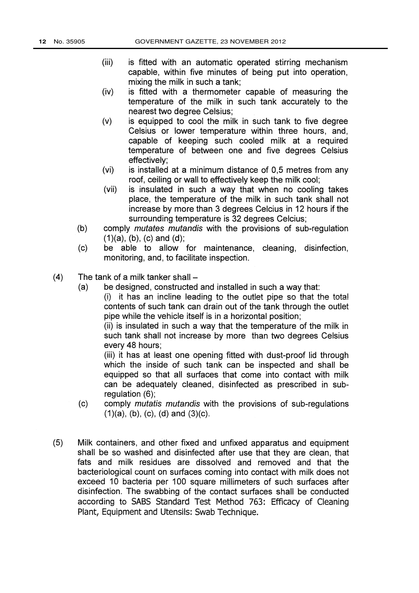- (iii) is fitted with an automatic operated stirring mechanism capable, within five minutes of being put into operation, mixing the milk in such a tank;
- (iv) is fitted with a thermometer capable of measuring the temperature of the milk in such tank accurately to the nearest two degree Celsius;
- (v) is equipped to cool the milk in such tank to five degree Celsius or lower temperature within three hours, and, capable of keeping such cooled milk at a required temperature of between one and five degrees Celsius effectively;
- (vi) is installed at a minimum distance of 0,5 metres from any roof, ceiling or wall to effectively keep the milk cool;
- (vii) is insulated in such a way that when no cooling takes place, the temperature of the milk in such tank shall not increase by more than 3 degrees Celcius in 12 hours if the surrounding temperature is 32 degrees Celcius;
- (b) comply mutates mutandis with the provisions of sub-regulation  $(1)(a)$ ,  $(b)$ ,  $(c)$  and  $(d)$ ;
- (c) be able to allow for maintenance, cleaning, disinfection, monitoring, and, to facilitate inspection.
- $(4)$  The tank of a milk tanker shall  $-$ 
	- (a) be designed, constructed and installed in such a way that:
		- $(i)$  it has an incline leading to the outlet pipe so that the total contents of such tank can drain out of the tank through the outlet pipe while the vehicle itself is in a horizontal position;

(ii) is insulated in such a way that the temperature of the milk in such tank shall not increase by more than two degrees Celsius every 48 hours;

(iii) it has at least one opening fitted with dust-proof lid through which the inside of such tank can be inspected and shall be equipped so that all surfaces that come into contact with milk can be adequately cleaned, disinfected as prescribed in subregulation (6);

- (c) comply mutatis mutandis with the provisions of sub-regulations  $(1)(a)$ ,  $(b)$ ,  $(c)$ ,  $(d)$  and  $(3)(c)$ .
- (5) Milk containers, and other fixed and unfixed apparatus and equipment shall be so washed and disinfected after use that they are clean, that fats and milk residues are dissolved and removed and that the bacteriological count on surfaces coming into contact with milk does not exceed 10 bacteria per 100 square millimeters of such surfaces after disinfection. The swabbing of the contact surfaces shall be conducted according to SABS Standard Test Method 763: Efficacy of Cleaning Plant, Equipment and Utensils: Swab Technique.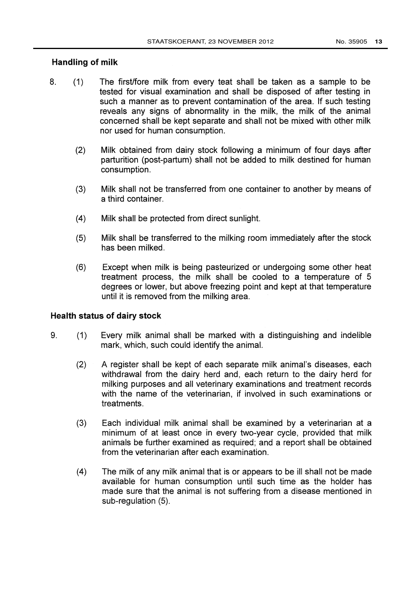## Handling of milk

- 8. (1) The first/fore milk from every teat shall be taken as a sample to be tested for visual examination and shall be disposed of after testing in such a manner as to prevent contamination of the area. If such testing reveals any signs of abnormality in the milk, the milk of the animal concerned shall be kept separate and shall not be mixed with other milk nor used for human consumption.
	- (2) Milk obtained from dairy stock following a minimum of four days after parturition (post-partum) shall not be added to milk destined for human consumption.
	- (3) Milk shall not be transferred from one container to another by means of a third container.
	- (4) Milk shall be protected from direct sunlight.
	- (5) Milk shall be transferred to the milking room immediately after the stock has been milked.
	- (6) Except when milk is being pasteurized or undergoing some other heat treatment process, the milk shall be cooled to a temperature of 5 degrees or lower, but above freezing point and kept at that temperature until it is removed from the milking area.

### Health status of dairy stock

- 9. (1) Every milk animal shall be marked with a distinguishing and indelible mark, which, such could identify the animal.
	- (2) A register shall be kept of each separate milk animal's diseases, each withdrawal from the dairy herd and, each return to the dairy herd for milking purposes and all veterinary examinations and treatment records with the name of the veterinarian, if involved in such examinations or treatments.
	- (3) Each individual milk animal shall be examined by a veterinarian at a minimum of at least once in every two-year cycle, provided that milk animals be further examined as required; and a report shall be obtained from the veterinarian after each examination.
	- (4) The milk of any milk animal that is or appears to be ill shall not be made available for human consumption until such time as the holder has made sure that the animal is not suffering from a disease mentioned in sub-regulation (5).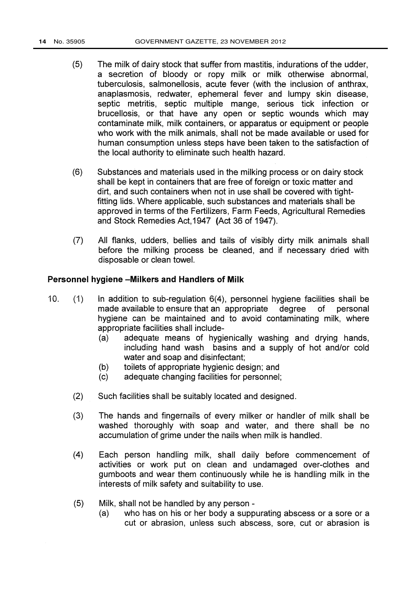- (5) The milk of dairy stock that suffer from mastitis, indurations of the udder, a secretion of bloody or ropy milk or milk otherwise abnormal, tuberculosis, salmonellosis, acute fever (with the inclusion of anthrax, anaplasmosis, redwater, ephemeral fever and lumpy skin disease, septic metritis, septic multiple mange, serious tick infection or brucellosis, or that have any open or septic wounds which may contaminate milk, milk containers, or apparatus or equipment or people who work with the milk animals, shall not be made available or used for human consumption unless steps have been taken to the satisfaction of the local authority to eliminate such health hazard.
- (6) Substances and materials used in the milking process or on dairy stock shall be kept in containers that are free of foreign or toxic matter and dirt, and such containers when not in use shall be covered with tightfitting lids. Where applicable, such substances and materials shall be approved in terms of the Fertilizers, Farm Feeds, Agricultural Remedies and Stock Remedies Act,1947 (Act 36 of 1947).
- (7) All flanks, udders, bellies and tails of visibly dirty milk animals shall before the milking process be cleaned, and if necessary dried with disposable or clean towel.

#### Personnel hygiene -Milkers and Handlers of Milk

- 10. (1) in addition to sub-regulation 6(4), personnel hygiene facilities shall be made available to ensure that an appropriate degree of personal hygiene can be maintained and to avoid contaminating milk, where appropriate facilities shall include-
	- (a) adequate means of hygienically washing and drying hands, including hand wash basins and a supply of hot and/or cold water and soap and disinfectant;
	- (b) toilets of appropriate hygienic design; and
	- (c) adequate changing facilities for personnel;
	- (2) Such facilities shall be suitably located and designed.
	- (3) The hands and fingernails of every milker or handler of milk shall be washed thoroughly with soap and water, and there shall be no accumulation of grime under the nails when milk is handled.
	- (4) Each person handling milk, shall daily before commencement of activities or work put on clean and undamaged over-clothes and gumboots and wear them continuously while he is handling milk in the interests of milk safety and suitability to use.
	- (5) Milk, shall not be handled by any person
		- who has on his or her body a suppurating abscess or a sore or a cut or abrasion, unless such abscess, sore, cut or abrasion is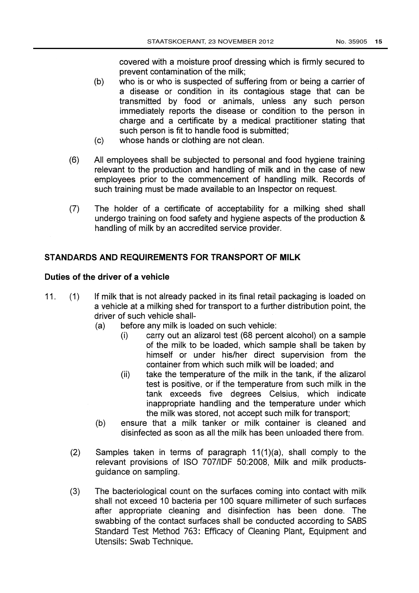covered with a moisture proof dressing which is firmly secured to prevent contamination of the milk;

- (b) who is or who is suspected of suffering from or being a carrier of a disease or condition in its contagious stage that can be transmitted by food or animals, unless any such person immediately reports the disease or condition to the person in charge and a certificate by a medical practitioner stating that such person is fit to handle food is submitted;
- (c) whose hands or clothing are not clean.
- (6) All employees shall be subjected to personal and food hygiene training relevant to the production and handling of milk and in the case of new employees prior to the commencement of handling milk. Records of such training must be made available to an Inspector on request.
- (7) The holder of a certificate of acceptability for a milking shed shall undergo training on food safety and hygiene aspects of the production & handling of milk by an accredited service provider.

## STANDARDS AND REQUIREMENTS FOR TRANSPORT OF MILK

#### Duties of the driver of a vehicle

- 11. (1) If milk that is not already packed in its final retail packaging is loaded on a vehicle at a milking shed for transport to a further distribution point, the driver of such vehicle shall-
	- (a) before any milk is loaded on such vehicle:
		- (i) carry out an alizarol test (68 percent alcohol) on a sample of the milk to be loaded, which sample shall be taken by himself or under his/her direct supervision from the container from which such milk will be loaded; and
		- (ii) take the temperature of the milk in the tank, if the alizarol test is positive, or if the temperature from such milk in the tank exceeds five degrees Celsius, which indicate inappropriate handling and the temperature under which the milk was stored, not accept such milk for transport;
	- (b) ensure that a milk tanker or milk container is cleaned and disinfected as soon as all the milk has been unloaded there from.
	- $(2)$ Samples taken in terms of paragraph 11(1)(a), shall comply to the relevant provisions of ISO 707/IDF 50:2008, Milk and milk productsguidance on sampling.
	- $(3)$ The bacteriological count on the surfaces coming into contact with milk shall not exceed 10 bacteria per 100 square millimeter of such surfaces after appropriate cleaning and disinfection has been done. The swabbing of the contact surfaces shall be conducted according to SABS Standard Test Method 763: Efficacy of Cleaning Plant, Equipment and Utensils: Swab Technique.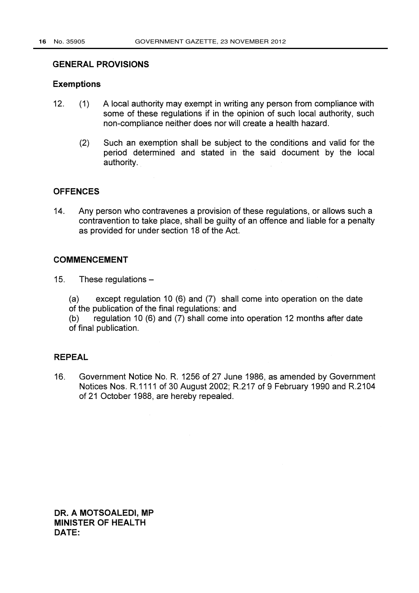#### GENERAL PROVISIONS

#### Exemptions

- 12. (1) A local authority may exempt in writing any person from compliance with some of these regulations if in the opinion of such local authority, such non-compliance neither does nor will create a health hazard.
	- (2) Such an exemption shall be subject to the conditions and valid for the period determined and stated in the said document by the local authority.

### **OFFENCES**

14. Any person who contravenes a provision of these regulations, or allows such a contravention to take place, shall be guilty of an offence and liable for a penalty as provided for under section 18 of the Act.

#### COMMENCEMENT

15. These regulations -

(a) except regulation 10 (6) and (7) shall come into operation on the date of the publication of the final regulations: and

(b) regulation 10 (6) and (7) shall come into operation 12 months after date of final publication.

#### REPEAL

16. Government Notice No. R. 1256 of 27 June 1986, as amended by Government Notices Nos. R.1111 of 30 August 2002; R.217 of 9 February 1990 and R.2104 of 21 October 1988, are hereby repealed.

DR. A MOTSOALEDI, MP MINISTER OF HEALTH DATE: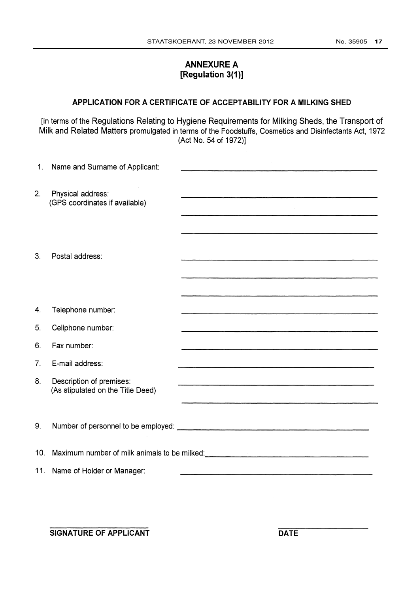## ANNEXURE A [Regulation 3(1)]

## APPLICATION FOR A CERTIFICATE OF ACCEPTABILITY FOR A MILKING SHED

[in terms of the Regulations Relating to Hygiene Requirements for Milking Sheds, the Transport of Milk and Related Matters promulgated in terms of the Foodstuffs, Cosmetics and Disinfectants Act, 1972 (Act No. 54 of 1972)]

| 1.              | Name and Surname of Applicant:                                |                                                                                                                                                                                                                                                                                                                                                              |
|-----------------|---------------------------------------------------------------|--------------------------------------------------------------------------------------------------------------------------------------------------------------------------------------------------------------------------------------------------------------------------------------------------------------------------------------------------------------|
| 2.              | Physical address:<br>(GPS coordinates if available)           |                                                                                                                                                                                                                                                                                                                                                              |
| 3.              | Postal address:                                               |                                                                                                                                                                                                                                                                                                                                                              |
|                 |                                                               |                                                                                                                                                                                                                                                                                                                                                              |
| 4.              | Telephone number:                                             |                                                                                                                                                                                                                                                                                                                                                              |
| 5.              | Cellphone number:                                             | <u> 1989 - Johann Harry Harry Harry Harry Harry Harry Harry Harry Harry Harry Harry Harry Harry Harry Harry Harry</u>                                                                                                                                                                                                                                        |
| 6.              | Fax number:                                                   | <u> 1980 - Jan Barat, martin dina masjid ayyı bir alan bir alan bir alan bir alan bir alan bir alan bir alan bir</u><br><u> 1989 - Andrea Station Books, actor and a company of the company of the company of the company of the company of the company of the company of the company of the company of the company of the company of the company of the</u> |
| 7.              | E-mail address:                                               |                                                                                                                                                                                                                                                                                                                                                              |
| 8.              | Description of premises:<br>(As stipulated on the Title Deed) |                                                                                                                                                                                                                                                                                                                                                              |
| 9.              |                                                               |                                                                                                                                                                                                                                                                                                                                                              |
| 10 <sub>1</sub> |                                                               | Maximum number of milk animals to be milked:<br>Maximum number of milk animals to be milked:                                                                                                                                                                                                                                                                 |
|                 | 11. Name of Holder or Manager:                                |                                                                                                                                                                                                                                                                                                                                                              |

SIGNATURE OF APPLICANT DATE